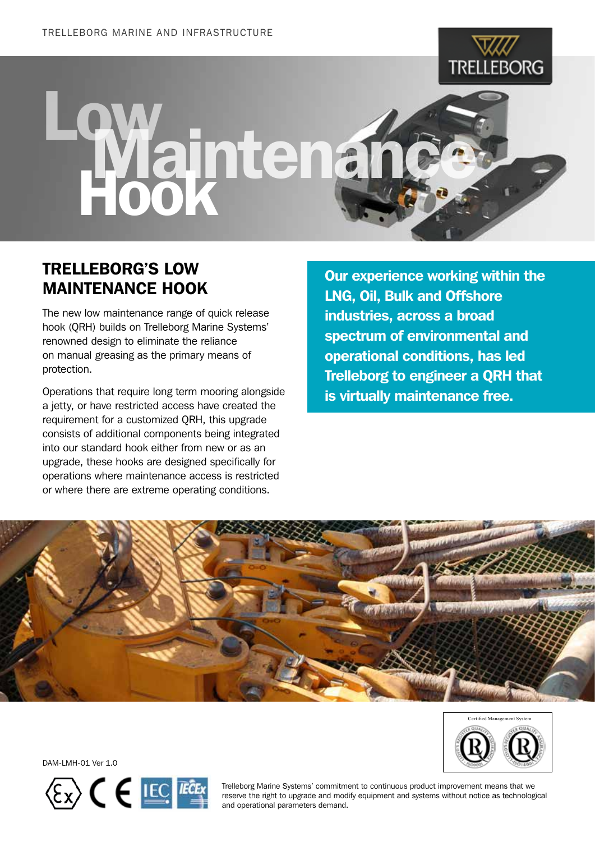

## Waintena

## TRELLEBORG'S Low **MAINTENANCE HOOK**

The new low maintenance range of quick release hook (QRH) builds on Trelleborg Marine Systems' renowned design to eliminate the reliance on manual greasing as the primary means of protection.

Operations that require long term mooring alongside a jetty, or have restricted access have created the requirement for a customized QRH, this upgrade consists of additional components being integrated into our standard hook either from new or as an upgrade, these hooks are designed specifically for operations where maintenance access is restricted or where there are extreme operating conditions.

Our experience working within the LNG, Oil, Bulk and Offshore industries, across a broad spectrum of environmental and operational conditions, has led Trelleborg to engineer a QRH that is virtually maintenance free.





DAM-LMH-01 Ver 1.0



Trelleborg Marine Systems' commitment to continuous product improvement means that we reserve the right to upgrade and modify equipment and systems without notice as technological and operational parameters demand.